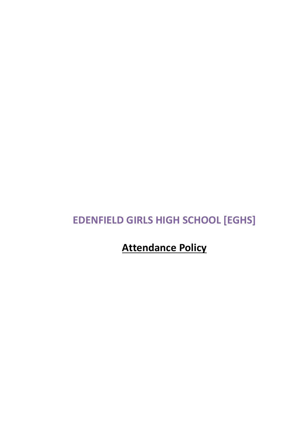# **EDENFIELD GIRLS HIGH SCHOOL [EGHS]**

**Attendance Policy**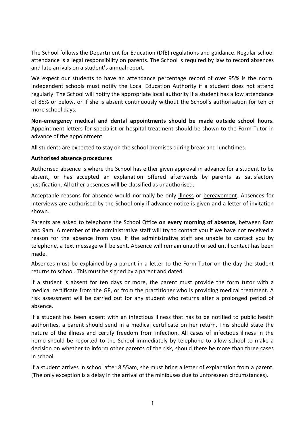The School follows the Department for Education (DfE) regulations and guidance. Regular school attendance is a legal responsibility on parents. The School is required by law to record absences and late arrivals on a student's annual report.

We expect our students to have an attendance percentage record of over 95% is the norm. Independent schools must notify the Local Education Authority if a student does not attend regularly. The School will notify the appropriate local authority if a student has a low attendance of 85% or below, or if she is absent continuously without the School's authorisation for ten or more school days.

**Non-emergency medical and dental appointments should be made outside school hours.**  Appointment letters for specialist or hospital treatment should be shown to the Form Tutor in advance of the appointment.

All students are expected to stay on the school premises during break and lunchtimes.

#### **Authorised absence procedures**

Authorised absence is where the School has either given approval in advance for a student to be absent, or has accepted an explanation offered afterwards by parents as satisfactory justification. All other absences will be classified as unauthorised.

Acceptable reasons for absence would normally be only illness or bereavement. Absences for interviews are authorised by the School only if advance notice is given and a letter of invitation shown.

Parents are asked to telephone the School Office **on every morning of absence,** between 8am and 9am. A member of the administrative staff will try to contact you if we have not received a reason for the absence from you. If the administrative staff are unable to contact you by telephone, a text message will be sent. Absence will remain unauthorised until contact has been made.

Absences must be explained by a parent in a letter to the Form Tutor on the day the student returns to school. This must be signed by a parent and dated.

If a student is absent for ten days or more, the parent must provide the form tutor with a medical certificate from the GP, or from the practitioner who is providing medical treatment. A risk assessment will be carried out for any student who returns after a prolonged period of absence.

If a student has been absent with an infectious illness that has to be notified to public health authorities, a parent should send in a medical certificate on her return. This should state the nature of the illness and certify freedom from infection. All cases of infectious illness in the home should be reported to the School immediately by telephone to allow school to make a decision on whether to inform other parents of the risk, should there be more than three cases in school.

If a student arrives in school after 8.55am, she must bring a letter of explanation from a parent. (The only exception is a delay in the arrival of the minibuses due to unforeseen circumstances).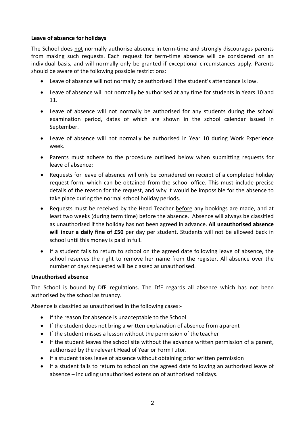## **Leave of absence for holidays**

The School does not normally authorise absence in term-time and strongly discourages parents from making such requests. Each request for term-time absence will be considered on an individual basis, and will normally only be granted if exceptional circumstances apply. Parents should be aware of the following possible restrictions:

- Leave of absence will not normally be authorised if the student's attendance is low.
- Leave of absence will not normally be authorised at any time for students in Years 10 and 11.
- Leave of absence will not normally be authorised for any students during the school examination period, dates of which are shown in the school calendar issued in September.
- Leave of absence will not normally be authorised in Year 10 during Work Experience week.
- Parents must adhere to the procedure outlined below when submitting requests for leave of absence:
- Requests for leave of absence will only be considered on receipt of a completed holiday request form, which can be obtained from the school office. This must include precise details of the reason for the request, and why it would be impossible for the absence to take place during the normal school holiday periods.
- Requests must be received by the Head Teacher before any bookings are made, and at least two weeks (during term time) before the absence. Absence will always be classified as unauthorised if the holiday has not been agreed in advance. **All unauthorised absence will incur a daily fine of £50** per day per student. Students will not be allowed back in school until this money is paid in full.
- If a student fails to return to school on the agreed date following leave of absence, the school reserves the right to remove her name from the register. All absence over the number of days requested will be classed as unauthorised.

## **Unauthorised absence**

The School is bound by DfE regulations. The DfE regards all absence which has not been authorised by the school as truancy.

Absence is classified as unauthorised in the following cases:-

- If the reason for absence is unacceptable to the School
- If the student does not bring a written explanation of absence from aparent
- If the student misses a lesson without the permission of the teacher
- If the student leaves the school site without the advance written permission of a parent, authorised by the relevant Head of Year or FormTutor.
- If a student takes leave of absence without obtaining prior written permission
- If a student fails to return to school on the agreed date following an authorised leave of absence – including unauthorised extension of authorised holidays.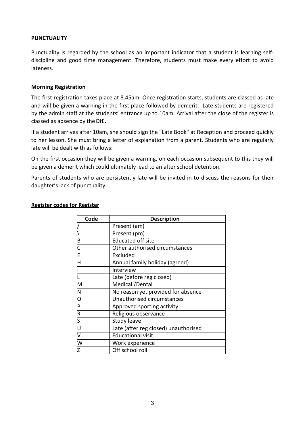### **PUNCTUALITY**

Punctuality is regarded by the school as an important indicator that a student is learning selfdiscipline and good time management. Therefore, students must make every effort to avoid lateness.

#### **Morning Registration**

The first registration takes place at 8.45am. Once registration starts, students are classed as late and will be given a warning in the first place followed by demerit. Late students are registered by the admin staff at the students' entrance up to 10am. Arrival after the close of the register is classed as absence by the DfE.

If a student arrives after 10am, she should sign the "Late Book" at Reception and proceed quickly to her lesson. She must bring a letter of explanation from a parent. Students who are regularly late will be dealt with as follows:

On the first occasion they will be given a warning, on each occasion subsequent to this they will be given a demerit which could ultimately lead to an after school detention.

Parents of students who are persistently late will be invited in to discuss the reasons for their daughter's lack of punctuality.

| Code                    | <b>Description</b>                   |
|-------------------------|--------------------------------------|
|                         | Present (am)                         |
|                         | Present (pm)                         |
|                         | <b>Educated off site</b>             |
|                         | Other authorised circumstances       |
|                         | Excluded                             |
|                         | Annual family holiday (agreed)       |
| $\vert$                 | Interview                            |
| τ                       | Late (before reg closed)             |
| $\overline{\mathsf{M}}$ | Medical /Dental                      |
|                         | No reason yet provided for absence   |
| $\frac{10 D D }{2}$     | Unauthorised circumstances           |
|                         | Approved sporting activity           |
|                         | Religious observance                 |
|                         | Study leave                          |
|                         | Late (after reg closed) unauthorised |
| $\overline{\mathsf{v}}$ | <b>Educational visit</b>             |
| $\overline{\mathsf{W}}$ | Work experience                      |
| Z                       | Off school roll                      |

#### **Register codes for Register**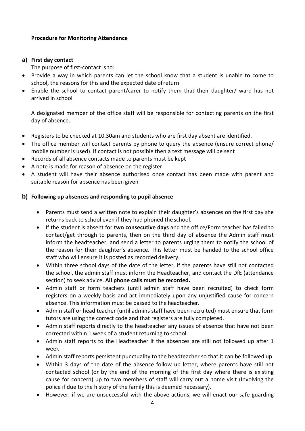## **Procedure for Monitoring Attendance**

## **a) First day contact**

The purpose of first-contact is to:

- Provide a way in which parents can let the school know that a student is unable to come to school, the reasons for this and the expected date ofreturn
- Enable the school to contact parent/carer to notify them that their daughter/ ward has not arrived in school

A designated member of the office staff will be responsible for contacting parents on the first day of absence.

- Registers to be checked at 10.30am and students who are first day absent are identified.
- The office member will contact parents by phone to query the absence (ensure correct phone/ mobile number is used). If contact is not possible then a text message will be sent
- Records of all absence contacts made to parents must be kept
- A note is made for reason of absence on the register
- A student will have their absence authorised once contact has been made with parent and suitable reason for absence has been given

# **b) Following up absences and responding to pupil absence**

- Parents must send a written note to explain their daughter's absences on the first day she returns back to school even if they had phoned the school.
- If the student is absent for **two consecutive days** and the office/Form teacher has failed to contact/get through to parents, then on the third day of absence the Admin staff must inform the headteacher, and send a letter to parents urging them to notify the school of the reason for their daughter's absence. This letter must be handed to the school office staff who will ensure it is posted as recorded delivery.
- Within three school days of the date of the letter, if the parents have still not contacted the school, the admin staff must inform the Headteacher, and contact the DfE (attendance section) to seek advice. **All phone calls must be recorded.**
- Admin staff or form teachers (until admin staff have been recruited) to check form registers on a weekly basis and act immediately upon any unjustified cause for concern absence. This information must be passed to the headteacher.
- Admin staff or head teacher (until admins staff have been recruited) must ensure that form tutors are using the correct code and that registers are fully completed.
- Admin staff reports directly to the headteacher any issues of absence that have not been corrected within 1 week of a student returning to school.
- Admin staff reports to the Headteacher if the absences are still not followed up after 1 week
- Admin staff reports persistent punctuality to the headteacher so that it can be followed up
- Within 3 days of the date of the absence follow up letter, where parents have still not contacted school (or by the end of the morning of the first day where there is existing cause for concern) up to two members of staff will carry out a home visit (Involving the police if due to the history of the family this is deemed necessary).
- However, if we are unsuccessful with the above actions, we will enact our safe guarding